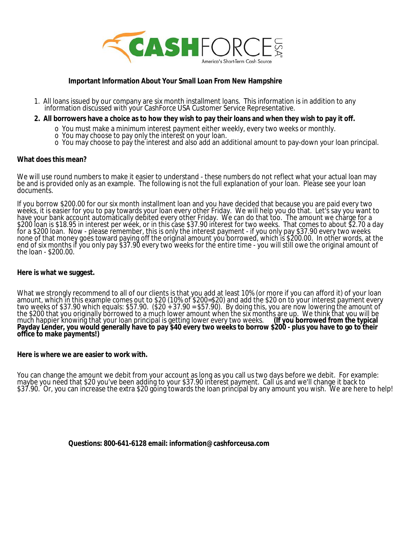

### **Important Information About Your Small Loan From New Hampshire**

1. All loans issued by our company are six month installment loans. This information is in addition to any information discussed with your CashForce USA Customer Service Representative.

### **2. All borrowers have a choice as to how they wish to pay their loans and when they wish to pay it off.**

- o You must make a minimum interest payment either weekly, every two weeks or monthly.
- o You may choose to pay only the interest on your loan.
- o You may choose to pay the interest and also add an additional amount to pay-down your loan principal.

### **What does this mean?**

We will use round numbers to make it easier to understand - these numbers do not reflect what your actual loan may be and is provided only as an example. The following is not the full explanation of your loan. Please see your loan documents.

If you borrow \$200.00 for our six month installment loan and you have decided that because you are paid every two weeks, it is easier for you to pay towards your loan every other Friday. We will help you do that. Let's say you want to have your bank account automatically debited every other Friday. We can do that too. The amount we charge for a \$200 loan is \$18.95 in interest per week, or in this case \$37.90 interest for two weeks. That comes to about \$2.70 a day for a \$200 loan. Now - please remember, this is only the interest payment - if you only pay \$37.90 every two weeks none of that money goes toward paying off the original amount you borrowed, which is \$200.00. In other words, at the end of six months if you only pay \$37.90 every two weeks for the entire time - you will still owe the original amount of the loan - \$200.00.

### **Here is what we suggest.**

What we strongly recommend to all of our clients is that you add at least 10% (or more if you can afford it) of your loan amount, which in this example comes out to \$20 (10% of \$200=\$20) and add the \$20 on to your interest payment every two weeks of \$37.90 which equals: \$57.90. (\$20 + 37.90 = \$57.90). By doing this, you are now lowering the amount of the \$200 that you originally borrowed to a much lower amount when the six months are up. We think that you will be much happier knowing that your loan principal is getting lower every two weeks. **(If you borrowed from the typical Payday Lender, you would generally have to pay \$40 every two weeks to borrow \$200 - plus you have to go to their office to make payments!)**

### **Here is where we are easier to work with.**

You can change the amount we debit from your account as long as you call us two days before we debit. For example: maybe you need that \$20 you've been adding to your \$37.90 interest payment. Call us and we'll change it back to \$37.90. Or, you can increase the extra \$20 going towards the loan principal by any amount you wish. We are here to help!

### **Questions: 800-641-6128 email: information@cashforceusa.com**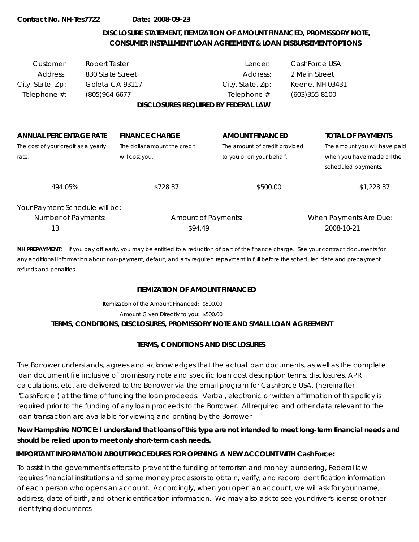# **DISCLOSURE STATEMENT, ITEMIZATION OF AMOUNT FINANCED, PROMISSORY NOTE, CONSUMER INSTALLMENT LOAN AGREEMENT & LOAN DISBURSEMENT OPTIONS**

| Customer:<br>Address:<br>City, State, Zip: | Robert Tester<br>830 State Street<br>Goleta CA 93117 |                                            | Lender:<br>Address:<br>City, State, Zip: | CashForce USA<br>2 Main Street<br>Keene, NH 03431 |                                                   |
|--------------------------------------------|------------------------------------------------------|--------------------------------------------|------------------------------------------|---------------------------------------------------|---------------------------------------------------|
| Telephone #:                               | $(805)964-6677$                                      | <b>DISCLOSURES REQUIRED BY FEDERAL LAW</b> | Telephone #:                             | $(603)355 - 8100$                                 |                                                   |
|                                            |                                                      |                                            |                                          |                                                   |                                                   |
| <b>ANNUAL PERCENTAGE RATE</b>              |                                                      | <b>FINANCE CHARGE</b>                      | <b>AMOUNT FINANCED</b>                   |                                                   | <b>TOTAL OF PAYMENTS</b>                          |
| The cost of your credit as a yearly        |                                                      | The dollar amount the credit               | The amount of credit provided            |                                                   | The amount you will have paid                     |
| rate.                                      |                                                      | will cost you.                             | to you or on your behalf.                |                                                   | when you have made all the<br>scheduled payments. |
| 494.05%                                    |                                                      | \$728.37                                   | \$500.00                                 |                                                   | \$1,228.37                                        |
| Your Payment Schedule will be:             |                                                      |                                            |                                          |                                                   |                                                   |
| Number of Payments:                        |                                                      | <b>Amount of Payments:</b>                 |                                          |                                                   | When Payments Are Due:                            |
| 13                                         |                                                      | \$94.49                                    |                                          |                                                   | 2008-10-21                                        |

**NH PREPAYMENT:** If you pay off early, you may be entitled to a reduction of part of the finance charge. See your contract documents for any additional information about non-payment, default, and any required repayment in full before the scheduled date and prepayment refunds and penalties.

### **ITEMIZATION OF AMOUNT FINANCED**

Itemization of the Amount Financed: \$500.00

Amount Given Directly to you: \$500.00

### **TERMS, CONDITIONS, DISCLOSURES, PROMISSORY NOTE AND SMALL LOAN AGREEMENT**

# **TERMS, CONDITIONS AND DISCLOSURES**

The Borrower understands, agrees and acknowledges that the actual loan documents, as well as the complete loan document file inclusive of promissory note and specific loan cost description terms, disclosures, APR calculations, etc. are delivered to the Borrower via the email program for CashForce USA. (hereinafter "CashForce") at the time of funding the loan proceeds. Verbal, electronic or written affirmation of this policy is required prior to the funding of any loan proceeds to the Borrower. All required and other data relevant to the loan transaction are available for viewing and printing by the Borrower.

**New Hampshire NOTICE: I understand that loans of this type are not intended to meet long-term financial needs and should be relied upon to meet only short-term cash needs.**

# **IMPORTANT INFORMATION ABOUT PROCEDURES FOR OPENING A NEW ACCOUNT WITH CashForce:**

To assist in the government's efforts to prevent the funding of terrorism and money laundering, Federal law requires financial institutions and some money processors to obtain, verify, and record identification information of each person who opens an account. Accordingly, when you open an account, we will ask for your name, address, date of birth, and other identification information. We may also ask to see your driver's license or other identifying documents.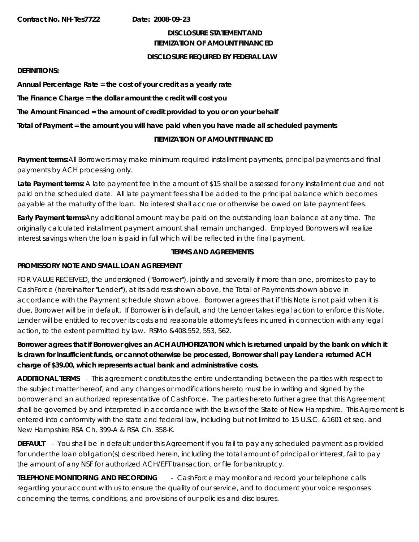### **DISCLOSURE STATEMENT AND ITEMIZATION OF AMOUNT FINANCED**

### **DISCLOSURE REQUIRED BY FEDERAL LAW**

### **DEFINITIONS:**

**Annual Percentage Rate = the cost of your credit as a yearly rate**

**The Finance Charge = the dollar amount the credit will cost you**

**The Amount Financed = the amount of credit provided to you or on your behalf**

**Total of Payment = the amount you will have paid when you have made all scheduled payments**

# **ITEMIZATION OF AMOUNT FINANCED**

**Payment terms:**All Borrowers may make minimum required installment payments, principal payments and final payments by ACH processing only.

**Late Payment terms:** A late payment fee in the amount of \$15 shall be assessed for any installment due and not paid on the scheduled date. All late payment fees shall be added to the principal balance which becomes payable at the maturity of the loan. No interest shall accrue or otherwise be owed on late payment fees.

**Early Payment terms:**Any additional amount may be paid on the outstanding loan balance at any time. The originally calculated installment payment amount shall remain unchanged. Employed Borrowers will realize interest savings when the loan is paid in full which will be reflected in the final payment.

## **TERMS AND AGREEMENTS**

## **PROMISSORY NOTE AND SMALL LOAN AGREEMENT**

FOR VALUE RECEIVED, the undersigned ("Borrower"), jointly and severally if more than one, promises to pay to CashForce (hereinafter "Lender"), at its address shown above, the Total of Payments shown above in accordance with the Payment schedule shown above. Borrower agrees that if this Note is not paid when it is due, Borrower will be in default. If Borrower is in default, and the Lender takes legal action to enforce this Note, Lender will be entitled to recover its costs and reasonable attorney's fees incurred in connection with any legal action, to the extent permitted by law. RSMo &408.552, 553, 562.

**Borrower agrees that if Borrower gives an ACH AUTHORIZATION which is returned unpaid by the bank on which it is drawn for insufficient funds, or cannot otherwise be processed, Borrower shall pay Lender a returned ACH charge of \$39.00, which represents actual bank and administrative costs.**

**ADDITIONAL TERMS** - This agreement constitutes the entire understanding between the parties with respect to the subject matter hereof, and any changes or modifications hereto must be in writing and signed by the borrower and an authorized representative of CashForce. The parties hereto further agree that this Agreement shall be governed by and interpreted in accordance with the laws of the State of New Hampshire. This Agreement is entered into conformity with the state and federal law, including but not limited to 15 U.S.C. &1601 et seq. and New Hampshire RSA Ch. 399-A & RSA Ch. 358-K.

**DEFAULT** - You shall be in default under this Agreement if you fail to pay any scheduled payment as provided for under the loan obligation(s) described herein, including the total amount of principal or interest, fail to pay the amount of any NSF for authorized ACH/EFT transaction, or file for bankruptcy.

**TELEPHONE MONITORING AND RECORDING** - CashForce may monitor and record your telephone calls regarding your account with us to ensure the quality of our service, and to document your voice responses concerning the terms, conditions, and provisions of our policies and disclosures.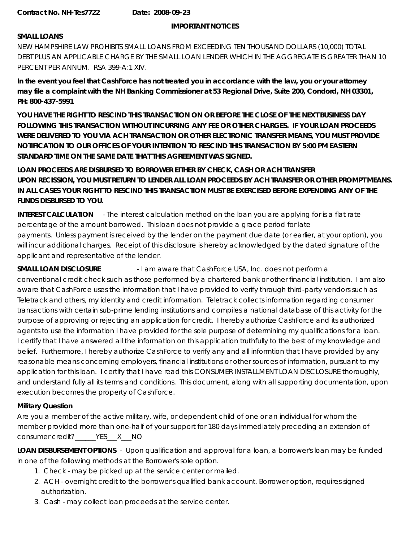### **IMPORTANT NOTICES**

### **SMALL LOANS**

NEW HAMPSHIRE LAW PROHIBITS SMALL LOANS FROM EXCEEDING TEN THOUSAND DOLLARS (10,000) TOTAL DEBT PLUS AN APPLICABLE CHARGE BY THE SMALL LOAN LENDER WHICH IN THE AGGREGATE IS GREATER THAN 10 PERCENT PER ANNUM. RSA 399-A:1 XIV.

**In the event you feel that CashForce has not treated you in accordance with the law, you or your attorney may file a complaint with the NH Banking Commissioner at 53 Regional Drive, Suite 200, Condord, NH 03301, PH: 800-437-5991**

**YOU HAVE THE RIGHT TO RESCIND THIS TRANSACTION ON OR BEFORE THE CLOSE OF THE NEXT BUSINESS DAY FOLLOWING THIS TRANSACTION WITHOUT INCURRING ANY FEE OR OTHER CHARGES. IF YOUR LOAN PROCEEDS WERE DELIVERED TO YOU VIA ACH TRANSACTION OR OTHER ELECTRONIC TRANSFER MEANS, YOU MUST PROVIDE NOTIFICATION TO OUR OFFICES OF YOUR INTENTION TO RESCIND THIS TRANSACTION BY 5:00 PM EASTERN STANDARD TIME ON THE SAME DATE THAT THIS AGREEMENT WAS SIGNED.**

**LOAN PROCEEDS ARE DISBURSED TO BORROWER EITHER BY CHECK, CASH OR ACH TRANSFER UPON RECISSION, YOU MUST RETURN TO LENDER ALL LOAN PROCEEDS BY ACH TRANSFER OR OTHER PROMPT MEANS. IN ALL CASES YOUR RIGHT TO RESCIND THIS TRANSACTION MUST BE EXERCISED BEFORE EXPENDING ANY OF THE FUNDS DISBURSED TO YOU.**

**INTEREST CALCULATION** - The interest calculation method on the loan you are applying for is a flat rate percentage of the amount borrowed. This loan does not provide a grace period for late payments. Unless payment is received by the lender on the payment due date (or earlier, at your option), you will incur additional charges. Receipt of this disclosure is hereby acknowledged by the dated signature of the applicant and representative of the lender.

**SMALL LOAN DISCLOSURE** - I am aware that CashForce USA, Inc. does not perform a conventional credit check such as those performed by a chartered bank or other financial institution. I am also aware that CashForce uses the information that I have provided to verify through third-party vendors such as Teletrack and others, my identity and credit information. Teletrack collects information regarding consumer transactions with certain sub-prime lending institutions and compiles a national database of this activity for the purpose of approving or rejecting an application for credit. I hereby authorize CashForce and its authorized agents to use the information I have provided for the sole purpose of determining my qualifications for a loan. I certify that I have answered all the information on this application truthfully to the best of my knowledge and belief. Furthermore, I hereby authorize CashForce to verify any and all informtion that I have provided by any reasonable means concerning employers, financial institutions or other sources of information, pursuant to my application for this loan. I certify that I have read this CONSUMER INSTALLMENT LOAN DISCLOSURE thoroughly, and understand fully all its terms and conditions. This document, along with all supporting documentation, upon execution becomes the property of CashForce.

# **Military Question**

Are you a member of the active military, wife, or dependent child of one or an individual for whom the member provided more than one-half of your support for 180 days immediately preceding an extension of consumer credit?\_\_\_\_\_\_YES\_\_\_X\_\_\_NO

**LOAN DISBURSEMENT OPTIONS** - Upon qualification and approval for a loan, a borrower's loan may be funded in one of the following methods at the Borrower's sole option.

- 1. Check may be picked up at the service center or mailed.
- 2. ACH overnight credit to the borrower's qualified bank account. Borrower option, requires signed authorization.
- 3. Cash may collect loan proceeds at the service center.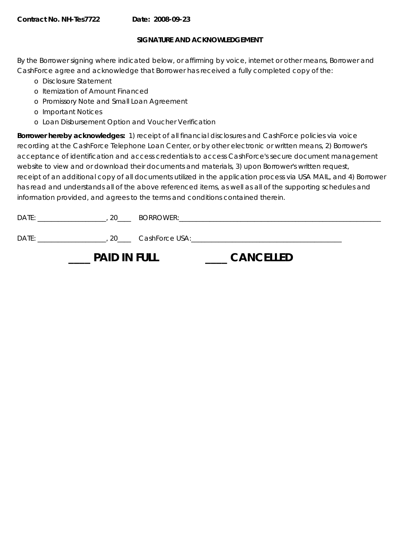## **SIGNATURE AND ACKNOWLEDGEMENT**

By the Borrower signing where indicated below, or affirming by voice, internet or other means, Borrower and CashForce agree and acknowledge that Borrower has received a fully completed copy of the:

- o Disclosure Statement
- o Itemization of Amount Financed
- o Promissory Note and Small Loan Agreement
- o Important Notices
- o Loan Disbursement Option and Voucher Verification

**Borrower hereby acknowledges:** 1) receipt of all financial disclosures and CashForce policies via voice recording at the CashForce Telephone Loan Center, or by other electronic or written means, 2) Borrower's acceptance of identification and access credentials to access CashForce's secure document management website to view and or download their documents and materials, 3) upon Borrower's written request, receipt of an additional copy of all documents utilized in the application process via USA MAIL, and 4) Borrower has read and understands all of the above referenced items, as well as all of the supporting schedules and information provided, and agrees to the terms and conditions contained therein.

| DATE: | 20                  | BORROWER:           |                                                                                                               |  |
|-------|---------------------|---------------------|---------------------------------------------------------------------------------------------------------------|--|
| DATE: |                     | . 20 CashForce USA: | <u> 2002 - 2003 - 2004 - 2005 - 2006 - 2007 - 2008 - 2009 - 2009 - 2009 - 2009 - 2009 - 2009 - 2009 - 200</u> |  |
|       | <b>PAID IN FULL</b> |                     | <b>CANCELLED</b>                                                                                              |  |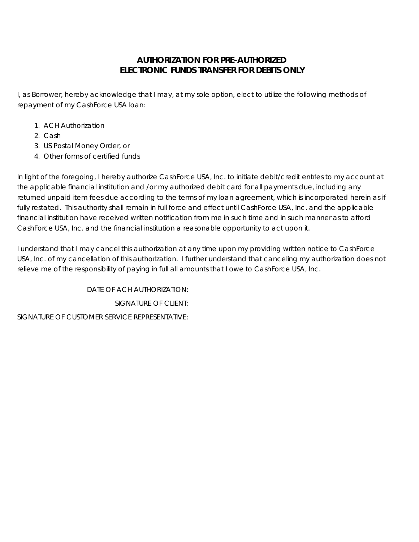# **AUTHORIZATION FOR PRE-AUTHORIZED ELECTRONIC FUNDS TRANSFER FOR DEBITS ONLY**

I, as Borrower, hereby acknowledge that I may, at my sole option, elect to utilize the following methods of repayment of my CashForce USA loan:

- 1. ACH Authorization
- 2. Cash
- 3. US Postal Money Order, or
- 4. Other forms of certified funds

In light of the foregoing, I hereby authorize CashForce USA, Inc. to initiate debit/credit entries to my account at the applicable financial institution and /or my authorized debit card for all payments due, including any returned unpaid item fees due according to the terms of my loan agreement, which is incorporated herein as if fully restated. This authority shall remain in full force and effect until CashForce USA, Inc. and the applicable financial institution have received written notification from me in such time and in such manner as to afford CashForce USA, Inc. and the financial institution a reasonable opportunity to act upon it.

I understand that I may cancel this authorization at any time upon my providing written notice to CashForce USA, Inc. of my cancellation of this authorization. I further understand that canceling my authorization does not relieve me of the responsibility of paying in full all amounts that I owe to CashForce USA, Inc.

DATE OF ACH AUTHORIZATION: SIGNATURE OF CLIENT: SIGNATURE OF CUSTOMER SERVICE REPRESENTATIVE: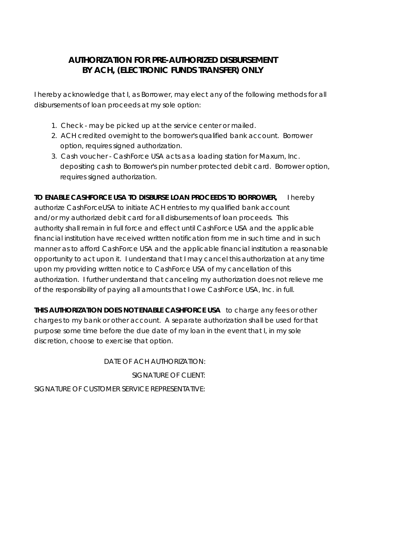# **AUTHORIZATION FOR PRE-AUTHORIZED DISBURSEMENT BY ACH, (ELECTRONIC FUNDS TRANSFER) ONLY**

I hereby acknowledge that I, as Borrower, may elect any of the following methods for all disbursements of loan proceeds at my sole option:

- 1. Check may be picked up at the service center or mailed.
- 2. ACH credited overnight to the borrower's qualified bank account. Borrower option, requires signed authorization.
- 3. Cash voucher CashForce USA acts as a loading station for Maxum, Inc. depositing cash to Borrower's pin number protected debit card. Borrower option, requires signed authorization.

**TO ENABLE CASHFORCE USA TO DISBURSE LOAN PROCEEDS TO BORROWER,** I hereby authorize CashForceUSA to initiate ACH entries to my qualified bank account and/or my authorized debit card for all disbursements of loan proceeds. This authority shall remain in full force and effect until CashForce USA and the applicable financial institution have received written notification from me in such time and in such manner as to afford CashForce USA and the applicable financial institution a reasonable opportunity to act upon it. I understand that I may cancel this authorization at any time

upon my providing written notice to CashForce USA of my cancellation of this authorization. I further understand that canceling my authorization does not relieve me of the responsibility of paying all amounts that I owe CashForce USA, Inc. in full.

**THIS AUTHORIZATION DOES NOT ENABLE CASHFORCE USA** to charge any fees or other charges to my bank or other account. A separate authorization shall be used for that purpose some time before the due date of my loan in the event that I, in my sole discretion, choose to exercise that option.

DATE OF ACH AUTHORIZATION: SIGNATURE OF CLIENT: SIGNATURE OF CUSTOMER SERVICE REPRESENTATIVE: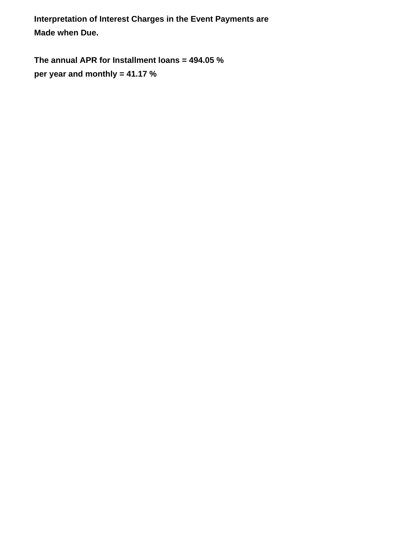**Interpretation of Interest Charges in the Event Payments are Made when Due.**

**The annual APR for Installment loans = 494.05 % per year and monthly = 41.17 %**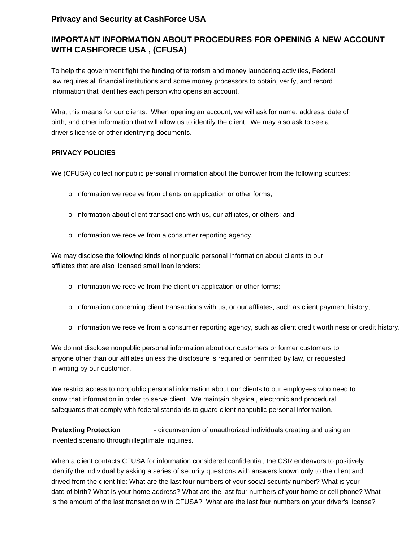# **Privacy and Security at CashForce USA**

# **IMPORTANT INFORMATION ABOUT PROCEDURES FOR OPENING A NEW ACCOUNT WITH CASHFORCE USA , (CFUSA)**

To help the government fight the funding of terrorism and money laundering activities, Federal law requires all financial institutions and some money processors to obtain, verify, and record information that identifies each person who opens an account.

What this means for our clients: When opening an account, we will ask for name, address, date of birth, and other information that will allow us to identify the client. We may also ask to see a driver's license or other identifying documents.

## **PRIVACY POLICIES**

We (CFUSA) collect nonpublic personal information about the borrower from the following sources:

- o Information we receive from clients on application or other forms;
- o Information about client transactions with us, our affliates, or others; and
- o Information we receive from a consumer reporting agency.

We may disclose the following kinds of nonpublic personal information about clients to our affliates that are also licensed small loan lenders:

- o Information we receive from the client on application or other forms;
- o Information concerning client transactions with us, or our affliates, such as client payment history;
- o Information we receive from a consumer reporting agency, such as client credit worthiness or credit history.

We do not disclose nonpublic personal information about our customers or former customers to anyone other than our affliates unless the disclosure is required or permitted by law, or requested in writing by our customer.

We restrict access to nonpublic personal information about our clients to our employees who need to know that information in order to serve client. We maintain physical, electronic and procedural safeguards that comply with federal standards to guard client nonpublic personal information.

**Pretexting Protection** - circumvention of unauthorized individuals creating and using an invented scenario through illegitimate inquiries.

When a client contacts CFUSA for information considered confidential, the CSR endeavors to positively identify the individual by asking a series of security questions with answers known only to the client and drived from the client file: What are the last four numbers of your social security number? What is your date of birth? What is your home address? What are the last four numbers of your home or cell phone? What is the amount of the last transaction with CFUSA? What are the last four numbers on your driver's license?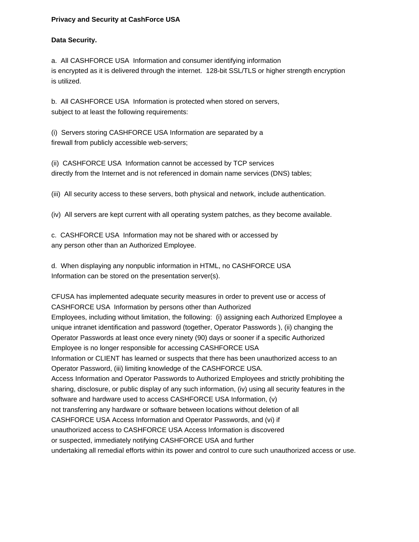### **Privacy and Security at CashForce USA**

### **Data Security.**

a. All CASHFORCE USA Information and consumer identifying information is encrypted as it is delivered through the internet. 128-bit SSL/TLS or higher strength encryption is utilized.

b. All CASHFORCE USA Information is protected when stored on servers, subject to at least the following requirements:

(i) Servers storing CASHFORCE USA Information are separated by a firewall from publicly accessible web-servers;

(ii) CASHFORCE USA Information cannot be accessed by TCP services directly from the Internet and is not referenced in domain name services (DNS) tables;

(iii) All security access to these servers, both physical and network, include authentication.

(iv) All servers are kept current with all operating system patches, as they become available.

c. CASHFORCE USA Information may not be shared with or accessed by any person other than an Authorized Employee.

d. When displaying any nonpublic information in HTML, no CASHFORCE USA Information can be stored on the presentation server(s).

CFUSA has implemented adequate security measures in order to prevent use or access of CASHFORCE USA Information by persons other than Authorized Employees, including without limitation, the following: (i) assigning each Authorized Employee a unique intranet identification and password (together, Operator Passwords ), (ii) changing the Operator Passwords at least once every ninety (90) days or sooner if a specific Authorized Employee is no longer responsible for accessing CASHFORCE USA Information or CLIENT has learned or suspects that there has been unauthorized access to an Operator Password, (iii) limiting knowledge of the CASHFORCE USA. Access Information and Operator Passwords to Authorized Employees and strictly prohibiting the sharing, disclosure, or public display of any such information, (iv) using all security features in the software and hardware used to access CASHFORCE USA Information, (v) not transferring any hardware or software between locations without deletion of all CASHFORCE USA Access Information and Operator Passwords, and (vi) if unauthorized access to CASHFORCE USA Access Information is discovered or suspected, immediately notifying CASHFORCE USA and further undertaking all remedial efforts within its power and control to cure such unauthorized access or use.